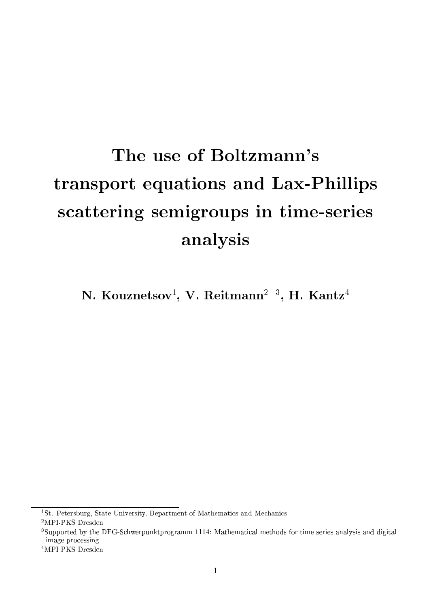# The use of Boltzmann's transport equations and Lax-Phillips s
attering semigroups in time-series analysis

ly. Kouznetsov-, v. Keitmann- °, H. Kantz-

'St. Petersburg, State University, Department of Mathematics and Mechanics

<sup>2</sup>MPI-PKS Dresden

<sup>3</sup> Supported by the DFG-S
hwerpunktprogramm 1114: Mathemati
al methods for time series analysis and digital image pro
essing

<sup>4</sup>MPI-PKS Dresden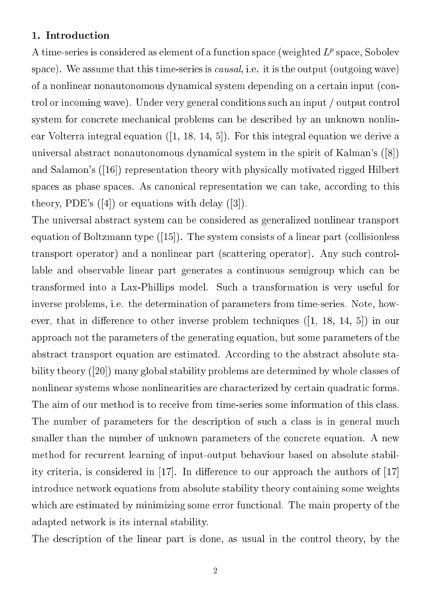#### 1. Introduction

 $A$  time-series is considered as element of a function space (weighted  $L^p$  space, Sobolev space). We assume that this time-series is *causal*, i.e. it is the output (outgoing wave) of a nonlinear nonautonomous dynami
al system depending on a ertain input (
ontrol or incoming wave). Under very general conditions such an input / output control system for concrete mechanical problems can be described by an unknown nonlinear Volterra integral equation  $([1, 18, 14, 5])$ . For this integral equation we derive a universal abstract nonautonomous dynamical system in the spirit of Kalman's  $([8])$ and Salamon's  $(16)$  representation theory with physically motivated rigged Hilbert spaces as phase spaces. As canonical representation we can take, according to this theory, PDE's  $([4])$  or equations with delay  $([3])$ .

The universal abstra
t system an be onsidered as generalized nonlinear transport equation of Boltzmann type  $([15])$ . The system consists of a linear part (collisionless transport operator) and a nonlinear part (scattering operator). Any such controllable and observable linear part generates a continuous semigroup which can be transformed into a Lax-Phillips model. Su
h a transformation is very useful for inverse problems, i.e. the determination of parameters from time-series. Note, however, that in difference to other inverse problem techniques  $(1, 18, 14, 5)$  in our approa
h not the parameters of the generating equation, but some parameters of the abstract transport equation are estimated. According to the abstract absolute stability theory  $(20)$  many global stability problems are determined by whole classes of nonlinear systems whose nonlinearities are characterized by certain quadratic forms. The aim of our method is to receive from time-series some information of this class. The number of parameters for the description of such a class is in general much smaller than the number of unknown parameters of the concrete equation. A new method for recurrent learning of input-output behaviour based on absolute stability criteria, is considered in  $[17]$ . In difference to our approach the authors of  $[17]$ introdu
e network equations from absolute stability theory ontaining some weights which are estimated by minimizing some error functional. The main property of the adapted network is its internal stability.

The description of the linear part is done, as usual in the control theory, by the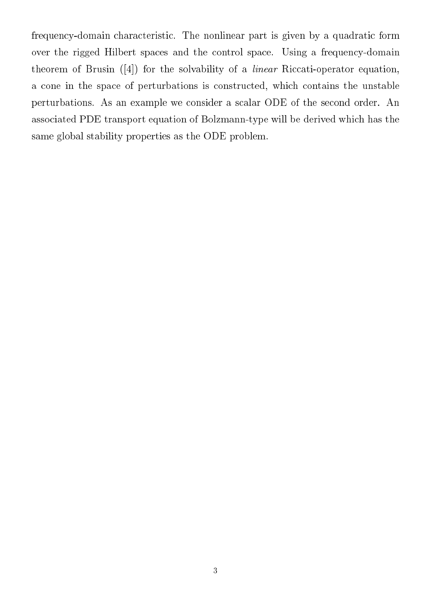frequency-domain characteristic. The nonlinear part is given by a quadratic form over the rigged Hilbert spaces and the control space. Using a frequency-domain theorem of Brusin  $([4])$  for the solvability of a *linear* Riccati-operator equation, a cone in the space of perturbations is constructed, which contains the unstable perturbations. As an example we onsider a s
alar ODE of the se
ond order. An asso
iated PDE transport equation of Bolzmann-type will be derived whi
h has the same global stability properties as the ODE problem.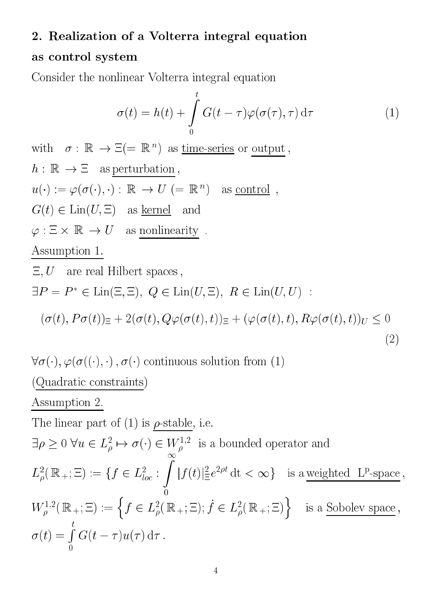### 2. Realization of <sup>a</sup> Volterra integral equation

#### as ontrol system

Consider the nonlinear Volterra integral equation

$$
\sigma(t) = h(t) + \int_{0}^{t} G(t - \tau) \varphi(\sigma(\tau), \tau) d\tau
$$
 (1)

WITH  $o : \mathbb{R} \to \mathbb{R} \equiv \mathbb{R}$  ) as time-series or output,  $h: \mathbb{R} \to \Xi$  as perturbation,  $u(\cdot) := \varphi(\sigma(\cdot), \cdot) : \mathbb{R} \to U \ (= \mathbb{R}^n) \quad \text{as } \underline{\text{control}} \enspace,$  $G(t) \in \text{Lin}(U, \Xi)$  as <u>kernel</u> and  $\varphi: \Xi \times \mathbb{R} \to U$  as nonlinearity . Assumption 1.  $E, U$  are real Hilbert spaces,  $\Box F = F \in \text{Liff}(\Box, \Box), \; Q \in \text{Liff}(U, \Box), \; R \in \text{Liff}(U, U)$  $(\sigma(t), P\sigma(t))_{\Xi} + 2(\sigma(t), Q\varphi(\sigma(t), t))_{\Xi} + (\varphi(\sigma(t), t), R\varphi(\sigma(t), t))_{U} \leq 0$ (2)

 $\forall \sigma(\cdot), \varphi(\sigma(\cdot), \cdot), \sigma(\cdot)$  continuous solution from (1)

(Quadratic constraints)

#### Assumption 2.

The linear part of (1) is *p*-stable, i.e.  
\n
$$
\exists \rho \ge 0 \ \forall u \in L^2_\rho \mapsto \sigma(\cdot) \in W^{1,2}_\rho
$$
 is a bounded operator and  
\n $L^2_\rho(\mathbb{R}_+;\Xi) := \{f \in L^2_{loc} : \int_0^\infty |f(t)|\frac{2}{\Xi}e^{2\rho t} dt < \infty\}$  is a weighted L<sup>p</sup>-space,  
\n $W^{1,2}_\rho(\mathbb{R}_+;\Xi) := \left\{f \in L^2_\rho(\mathbb{R}_+;\Xi); f \in L^2_\rho(\mathbb{R}_+;\Xi)\right\}$  is a Sobolev space,  
\n $\sigma(t) = \int_0^t G(t-\tau)u(\tau) d\tau$ .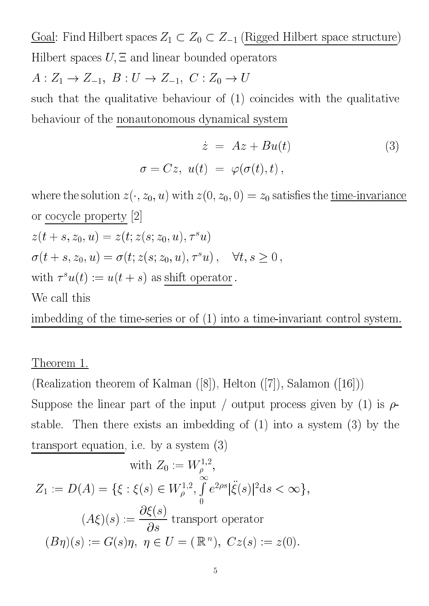Goal: Find Hilbert spaces  $Z_1 \subset Z_0 \subset Z_{-1}$  (Rigged Hilbert space structure) Hilbert spaces  $U, \Xi$  and linear bounded operators

 $A: Z_1 \to Z_{-1}, B: U \to Z_{-1}, C: Z_0 \to U$ 

su
h that the qualitative behaviour of (1) oin
ides with the qualitative behaviour of the nonautonomous dynami
al system

$$
\dot{z} = Az + Bu(t) \tag{3}
$$
\n
$$
\sigma = Cz, \ u(t) = \varphi(\sigma(t), t),
$$

where the solution  $z(\cdot, z_0, u)$  with  $z(0, z_0, 0) = z_0$  satisfies the <u>time-invariance</u> or cocycle property  $[2]$  $z(t + s, z_0, u) = z(t, z(s, z_0, u), \tau u)$  $\sigma(t + s, z_0, u) = \sigma(t, z(s; z_0, u), \tau^* u)$ ,  $v, s \geq 0$ , with  $\tau(u(t)) := u(t + s)$  as shift operator. We call this

imbedding of the time-series or of  $(1)$  into a time-invariant control system.

#### Theorem 1.

(Realization theorem of Kalman  $([8])$ , Helton  $([7])$ , Salamon  $([16])$ ) Suppose the linear part of the input / output process given by (1) is  $\rho$ stable. Then there exists an imbedding of (1) into a system (3) by the transport equation, i.e. by a system (3)

with 
$$
Z_0 := W_{\rho}^{1,2}
$$
,  
\n
$$
Z_1 := D(A) = \{ \xi : \xi(s) \in W_{\rho}^{1,2}, \int_0^{\infty} e^{2\rho s} |\ddot{\xi}(s)|^2 ds < \infty \},
$$
\n
$$
(A\xi)(s) := \frac{\partial \xi(s)}{\partial s} \text{ transport operator}
$$
\n
$$
(B\eta)(s) := G(s)\eta, \ \eta \in U = (\mathbb{R}^n), \ Cz(s) := z(0).
$$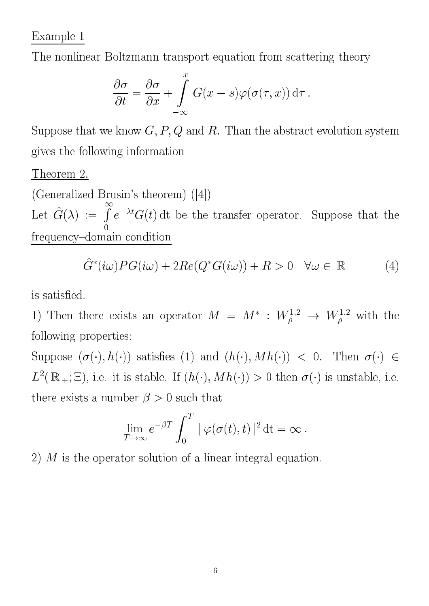## Example 1

The nonlinear Boltzmann transport equation from s
attering theory

$$
\frac{\partial \sigma}{\partial t} = \frac{\partial \sigma}{\partial x} + \int_{-\infty}^{x} G(x - s) \varphi(\sigma(\tau, x)) d\tau.
$$

Suppose that we know  $G, P, Q$  and  $R$ . Than the abstract evolution system gives the following information

Theorem 2.

(Generalized Brusin's theorem)  $([4])$ Let  $\hat{G}(\lambda) := \hat{I}$  $e\equiv G(t) \, \mathrm{d} t$  be the transfer operator. Suppose that the frequen
y{domain ondition

$$
\hat{G}^*(i\omega)PG(i\omega) + 2Re(Q^*G(i\omega)) + R > 0 \quad \forall \omega \in \mathbb{R}
$$
 (4)

is satisfied.

1) Then there exists an operator  $M = M$ :  $W_{\rho}^{3,2} \rightarrow W_{\rho}^{3,2}$  with the following properties:

Suppose  $(\sigma(\cdot), h(\cdot))$  satisfies (1) and  $(h(\cdot), M h(\cdot)) < 0$ . Then  $\sigma(\cdot) \in$  $L^-(\mathbb{R}_+;\mathbb{Z})$ , i.e. it is stable. If  $(n(\cdot),m\overline{n(\cdot)})>0$  then  $o(\cdot)$  is unstable, i.e. there exists a number  $\beta > 0$  such that

$$
\lim_{T \to \infty} e^{-\beta T} \int_0^T |\varphi(\sigma(t), t)|^2 dt = \infty.
$$

2) M is the operator solution of a linear integral equation.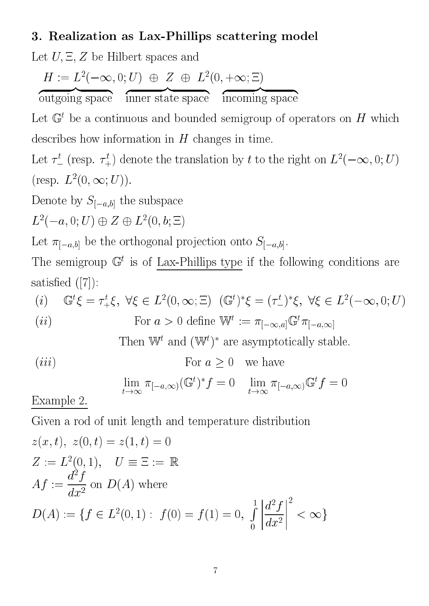## 3. Realization as Lax-Phillips s
attering model

Let  $U, \Xi, Z$  be Hilbert spaces and

z **https://www.archive.com/** 

$$
H := L^2(-\infty, 0; U) \oplus Z \oplus L^2(0, +\infty; \Xi)
$$

outgoing spa
e z **has a second contract of the contract of the contract of the contract of the contract of the contract of the contract of the contract of the contract of the contract of the contract of the contract of the contract of th** inner state spa
e in
oming spa
e

Let  $\mathbb U$  be a continuous and bounded semigroup of operators on  $H$  which describes how information in  $H$  changes in time.

z **has a second contract of the contract of the contract of the contract of the contract of the contract of the contract of the contract of the contract of the contract of the contract of the contract of the contract of th** 

Let  $\tau_{-}$  (resp.  $\tau_{+}$ ) denote the translation by t to the right on  $L^{-}(-\infty, \upsilon; \upsilon)$  $(Fesp. L<sup>-</sup>(U, \infty; U)).$ 

Denote by  $S_{[-a,b]}$  the subspace

 $L^-(=a, 0, U)$   $\oplus$   $\Delta$   $\oplus$   $L^-(0, 0, \square)$ 

Let  $\pi_{[-a,b]}$  be the orthogonal projection onto  $S_{[-a,b]}$ .

The semigroup <sup>G</sup> <sup>t</sup> is of Lax-Phillips type if the following onditions are satisfied  $([7])$ :

(i) 
$$
\mathbb{G}^t \xi = \tau_+^t \xi, \ \forall \xi \in L^2(0, \infty; \Xi) \ (\mathbb{G}^t)^* \xi = (\tau_-^t)^* \xi, \ \forall \xi \in L^2(-\infty, 0; U)
$$
\n(ii) For  $a > 0$  define  $\mathbb{W}^t := \pi_{[-\infty, a]} \mathbb{G}^t \pi_{[-a, \infty]}$ 

I new and (W) are asymptotically stable.

$$
(iii) \tFor a \ge 0 \twe have
$$

$$
\lim_{t \to \infty} \pi_{[-a,\infty)}(\mathbb{G}^t)^* f = 0 \quad \lim_{t \to \infty} \pi_{[-a,\infty)}\mathbb{G}^t f = 0
$$

Example 2.

Given a rod of unit length and temperature distribution

$$
z(x, t), z(0, t) = z(1, t) = 0
$$
  
\n
$$
Z := L^{2}(0, 1), U \equiv \Xi := \mathbb{R}
$$
  
\n
$$
Af := \frac{d^{2}f}{dx^{2}} \text{ on } D(A) \text{ where}
$$
  
\n
$$
D(A) := \{ f \in L^{2}(0, 1) : f(0) = f(1) = 0, \int_{0}^{1} \left| \frac{d^{2}f}{dx^{2}} \right|^{2} < \infty \}
$$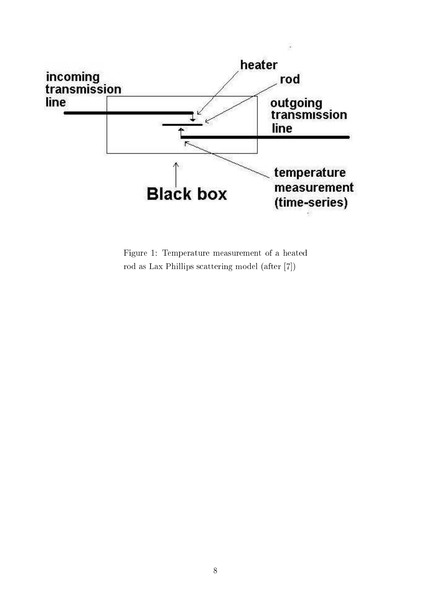

Figure 1: Temperature measurement of <sup>a</sup> heated rod as Lax Phillips scattering model (after [7])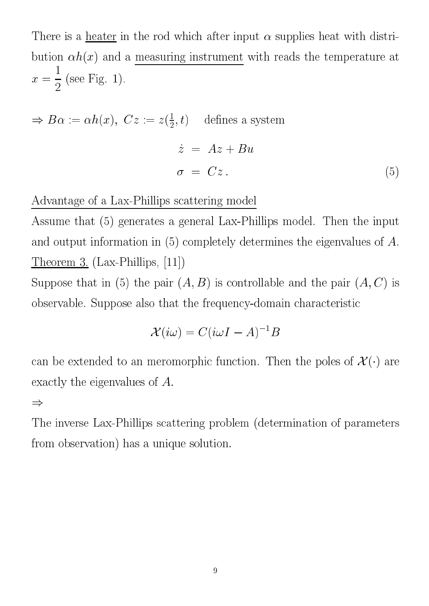There is a heater in the rod which after input  $\alpha$  supplies heat with distribution  $\alpha h(x)$  and a measuring instrument with reads the temperature at  $\blacksquare$ . 1).

$$
\Rightarrow B\alpha := \alpha h(x), \ Cz := z(\frac{1}{2}, t) \quad \text{defines a system}
$$

$$
\dot{z} = Az + Bu
$$

$$
\sigma = Cz. \tag{5}
$$

Advantage of a Lax-Phillips s
attering model

Assume that (5) generates a general Lax-Phillips model. Then the input and output information in (5) ompletely determines the eigenvalues of A. Theorem 3.  $(Lax-Phillips, [11])$ 

Suppose that in (5) the pair  $(A, B)$  is controllable and the pair  $(A, C)$  is observable. Suppose also that the frequency-domain characteristic

$$
\mathcal{X}(i\omega) = C(i\omega I - A)^{-1}B
$$

can be extended to an meromorphic function. Then the poles of  $\mathcal{X}(\cdot)$  are exactly the eigenvalues of A.

 $\Rightarrow$ 

The inverse Lax-Phillips s
attering problem (determination of parameters from observation) has a unique solution.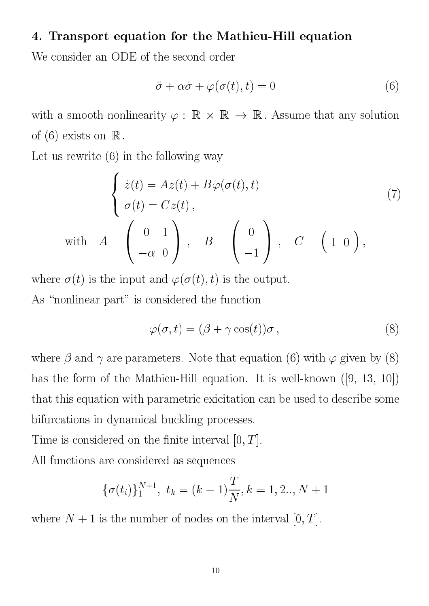#### 4. Transport equation for the Mathieu-Hill equation

We consider an ODE of the second order

$$
\ddot{\sigma} + \alpha \dot{\sigma} + \varphi(\sigma(t), t) = 0 \tag{6}
$$

with a smooth nonlinearity  $\varphi$  :  $\mathbb R\,\times\,\mathbb R\,\to\,\mathbb R$  . Assume that any solution of  $(6)$  exists on  $\mathbb R$ .

Let us rewrite (6) in the following way

<sup>8</sup>

$$
\begin{cases}\n\dot{z}(t) = Az(t) + B\varphi(\sigma(t), t) \\
\sigma(t) = Cz(t), \\
\text{with} \quad A = \begin{pmatrix} 0 & 1 \\ -\alpha & 0 \end{pmatrix}, \quad B = \begin{pmatrix} 0 \\ -1 \end{pmatrix}, \quad C = \begin{pmatrix} 1 & 0 \end{pmatrix},\n\end{cases}
$$
\n(7)

where  $\sigma(t)$  is the input and  $\varphi(\sigma(t), t)$  is the output. As "nonlinear part" is considered the function

$$
\varphi(\sigma, t) = (\beta + \gamma \cos(t))\sigma, \qquad (8)
$$

where  $\beta$  and  $\gamma$  are parameters. Note that equation (6) with  $\varphi$  given by (8) has the form of the Mathieu-Hill equation. It is well-known  $([9, 13, 10])$ that this equation with parametric exicitation can be used to describe some bifurcations in dynamical buckling processes.

Time is considered on the finite interval  $[0, T]$ .

All fun
tions are onsidered as sequen
es

$$
\{\sigma(t_i)\}_1^{N+1},\,\,t_k=(k-1)\frac{T}{N},k=1,2..,N+1
$$

where  $N + 1$  is the number of nodes on the interval  $[0, T]$ .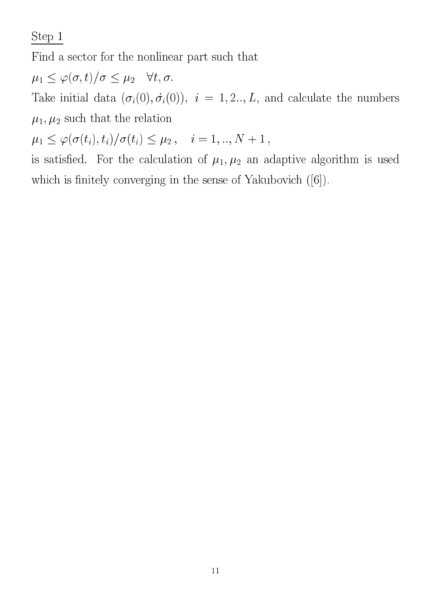Step 1

Find a sector for the nonlinear part such that

 $\mu_1 \leq \varphi(\sigma, t)/\sigma \leq \mu_2 \quad \forall t, \sigma.$ 

 $\begin{pmatrix} 0 & 0 & 0 \\ 0 & 1 & 0 \\ 0 & 0 & 1 \end{pmatrix}$  $\mu_1, \mu_2$  such that the relation

 $\mu_1 \leq \varphi(\sigma(t_i), t_i)/\sigma(t_i) \leq \mu_2, \quad i = 1, .., N + 1$ ,

is satisfied. For the calculation of  $\mu_1, \mu_2$  an adaptive algorithm is used which is finitely converging in the sense of Yakubovich  $([6])$ .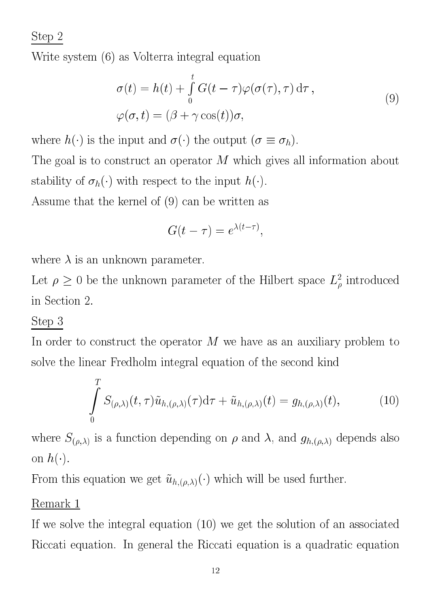Step 2

Write system (6) as Volterra integral equation

$$
\sigma(t) = h(t) + \int_{0}^{t} G(t - \tau) \varphi(\sigma(\tau), \tau) d\tau ,
$$
  

$$
\varphi(\sigma, t) = (\beta + \gamma \cos(t)) \sigma,
$$
 (9)

where  $h(\cdot)$  is the input and  $\sigma(\cdot)$  the output  $(\sigma \equiv \sigma_h)$ .

The goal is to construct an operator  $M$  which gives all information about stability of  $\sigma_h(\cdot)$  with respect to the input  $h(\cdot)$ .

Assume that the kernel of (9) an be written as

$$
G(t-\tau) = e^{\lambda(t-\tau)},
$$

where  $\lambda$  is an unknown parameter.

Let  $\rho \geq 0$  be the unknown parameter of the Hilbert space  $L_{\rho}^{\circ}$  introduced in Se
tion 2.

## Step 3

In order to construct the operator  $M$  we have as an auxiliary problem to solve the linear Fredholm integral equation of the second kind

$$
\int_{0}^{T} S_{(\rho,\lambda)}(t,\tau)\tilde{u}_{h,(\rho,\lambda)}(\tau)d\tau + \tilde{u}_{h,(\rho,\lambda)}(t) = g_{h,(\rho,\lambda)}(t),
$$
\n(10)

where  $S_{(\rho,\lambda)}$  is a function depending on  $\rho$  and  $\lambda$ , and  $g_{h,(\rho,\lambda)}$  depends also on  $h(\cdot)$ .

From this equation we get  $\tilde{u}_{h,(\rho,\lambda)}(\cdot)$  which will be used further.

## Remark 1

If we solve the integral equation (10) we get the solution of an asso
iated Riccati equation. In general the Riccati equation is a quadratic equation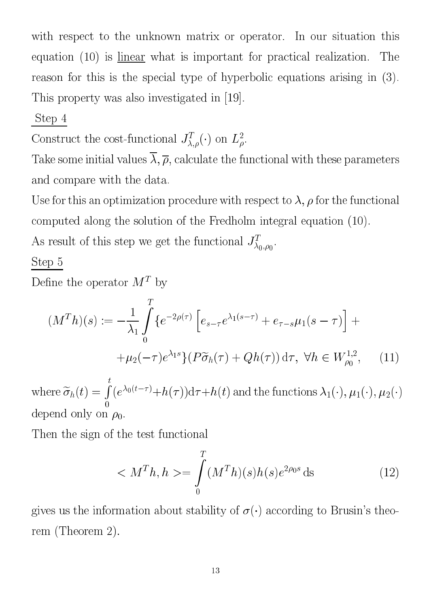with respect to the unknown matrix or operator. In our situation this equation  $(10)$  is linear what is important for practical realization. The reason for this is the special type of hyperbolic equations arising in (3). This property was also investigated in [19].

## Step 4

Construct the cost-functional  $J_{\lambda,\rho}^-(\cdot)$  on  $L_{\rho}^-$ .

Take some initial values  $\overline{\lambda}, \overline{\rho}$ , calculate the functional with these parameters and ompare with the data.

Use for this an optimization procedure with respect to  $\lambda$ ,  $\rho$  for the functional omputed along the solution of the Fredholm integral equation (10).

As result of this step we get the functional  $J_{\lambda_0,\rho_0}^-.$ 

## Step 5

Define the operator  $M^-$  by

$$
(M^{T}h)(s) := -\frac{1}{\lambda_{1}} \int_{0}^{T} \{ e^{-2\rho(\tau)} \left[ e_{s-\tau} e^{\lambda_{1}(s-\tau)} + e_{\tau-s} \mu_{1}(s-\tau) \right] + \mu_{2}(-\tau) e^{\lambda_{1}s} \} (P\widetilde{\sigma}_{h}(\tau) + Qh(\tau)) d\tau, \ \forall h \in W_{\rho_{0}}^{1,2}, \quad (11)
$$

 $\cdots$  =  $\cdots$  =  $\cdots$   $\cdots$ <sup>R</sup> <sup>t</sup>  $(e^{i\omega(t-\tau)}+h(\tau))$  at  $\tau+h(t)$  and the functions  $\lambda_1(\cdot),\mu_1(\cdot),\mu_2(\cdot))$ depend only on  $\rho_0$ .

Then the sign of the test functional

$$
\langle M^T h, h \rangle = \int_0^T (M^T h)(s) h(s) e^{2\rho_0 s} ds \tag{12}
$$

gives us the information about stability of  $\sigma(\cdot)$  according to Brusin's theorem (Theorem 2).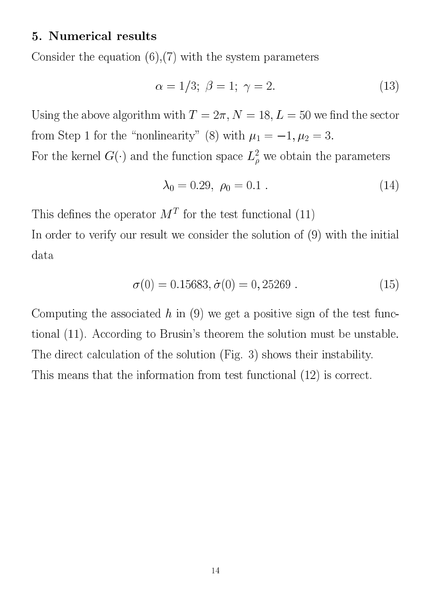#### 5. Numeri
al results

Consider the equation  $(6)$ ,  $(7)$  with the system parameters

$$
\alpha = 1/3; \ \beta = 1; \ \gamma = 2. \tag{13}
$$

Using the above algorithm with  $T = 2\pi$ ,  $N = 18, L = 50$  we find the sector from Step 1 for the "nonlinearity" (8) with  $\mu_1 = -1, \mu_2 = 3$ .

For the kernel  $G(\cdot)$  and the function space  $L^2_{\rho}$  we obtain the parameters

$$
\lambda_0 = 0.29, \ \rho_0 = 0.1 \ . \tag{14}
$$

This denes the operator M<sup>T</sup> for the test fun
tional (11)

In order to verify our result we consider the solution of  $(9)$  with the initial data

$$
\sigma(0) = 0.15683, \dot{\sigma}(0) = 0,25269. \tag{15}
$$

Computing the associated  $h$  in (9) we get a positive sign of the test functional (11). According to Brusin's theorem the solution must be unstable. The direct calculation of the solution (Fig. 3) shows their instability. This means that the information from test functional  $(12)$  is correct.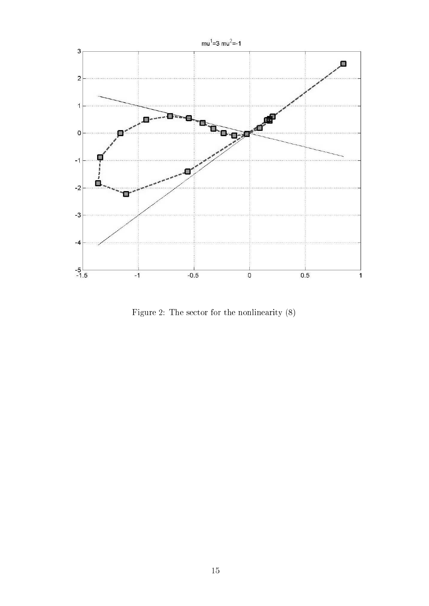

Figure 2: The sector for the nonlinearity  $(8)$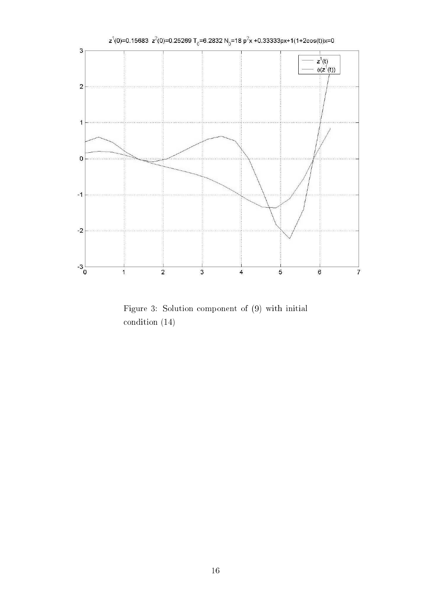

Figure 3: Solution omponent of (9) with initial ondition (14)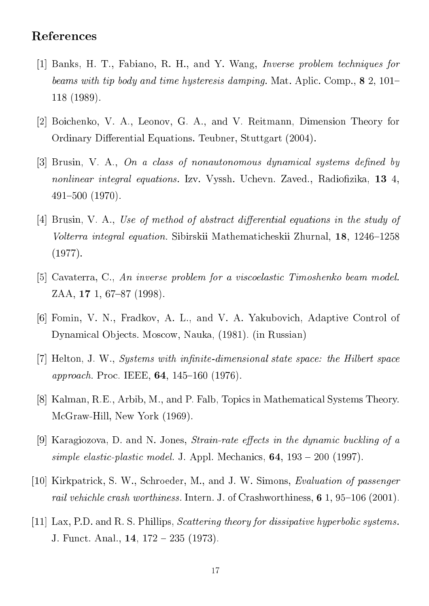#### Referen
es

- [1] Banks, H. T., Fabiano, R. H., and Y. Wang, *Inverse problem techniques for* beams with tip body and time hysteresis damping. Mat. Aplic. Comp.,  $8\,2$ , 101– 118 (1989).
- [2] Boichenko, V. A., Leonov, G. A., and V. Reitmann, Dimension Theory for Ordinary Differential Equations. Teubner, Stuttgart (2004).
- [3] Brusin, V. A., On a class of nonautonomous dynamical systems defined by nonlinear integral equations. Izv. Vyssh. Uchevn. Zaved., Radiofizika, 13 4, 491{500 (1970).
- [4] Brusin, V. A., Use of method of abstract differential equations in the study of Volterra integral equation. Sibirskii Mathematicheskii Zhurnal, 18, 1246–1258 (1977).
- [5] Cavaterra, C., An inverse problem for a viscoelastic Timoshenko beam model.  $ZAA$ , 17 1, 67-87 (1998).
- [6] Fomin, V. N., Fradkov, A. L., and V. A. Yakubovich, Adaptive Control of Dynamical Objects. Moscow, Nauka, (1981). (in Russian)
- $[7]$  Helton, J. W., *Systems with infinite-dimensional state space: the Hilbert space approach.* Proc. IEEE, **64**, 145-160 (1976).
- [8] Kalman, R.E., Arbib, M., and P. Falb, Topics in Mathematical Systems Theory. M
Graw-Hill, New York (1969).
- [9] Karagiozova, D. and N. Jones, *Strain-rate effects in the dynamic buckling of a* simple elastic-plastic model. J. Appl. Mechanics,  $64$ ,  $193 - 200$  (1997).
- [10] Kirkpatrick, S. W., Schroeder, M., and J. W. Simons, *Evaluation of passenger* rail vehichle crash worthiness. Intern. J. of Crashworthiness,  $6$  1,  $95-106$  (2001).
- [11] Lax, P.D. and R. S. Phillips, *Scattering theory for dissipative hyperbolic systems*. J. Funct. Anal., **14**, 172 – 235 (1973).